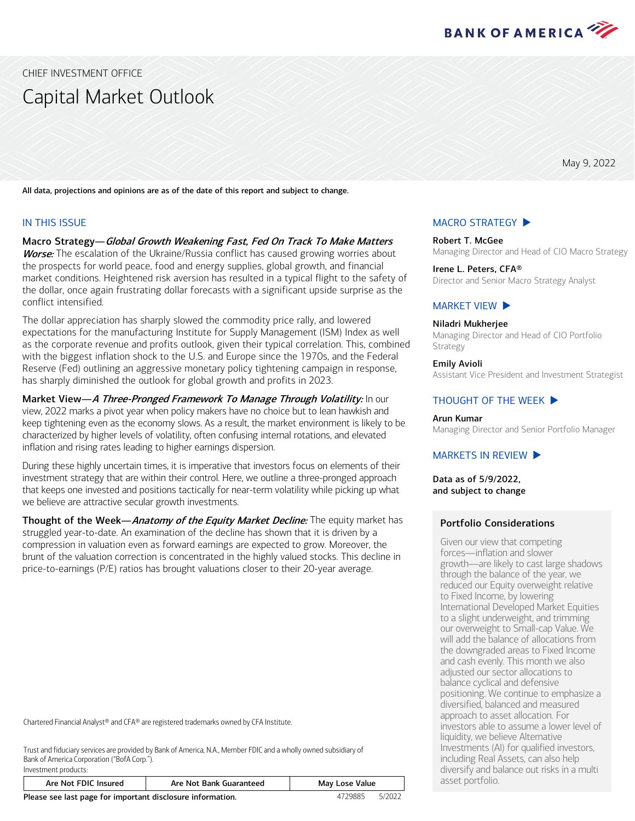

<span id="page-0-0"></span>CHIEF INVESTMENT OFFICE

# Capital Market Outlook

May 9, 2022

All data, projections and opinions are as of the date of this report and subject to change.

#### IN THIS ISSUE

Investment products:

Macro Strategy—Global Growth Weakening Fast, Fed On Track To Make Matters **Worse:** The escalation of the Ukraine/Russia conflict has caused growing worries about the prospects for world peace, food and energy supplies, global growth, and financial market conditions. Heightened risk aversion has resulted in a typical flight to the safety of the dollar, once again frustrating dollar forecasts with a significant upside surprise as the conflict intensified.

The dollar appreciation has sharply slowed the commodity price rally, and lowered expectations for the manufacturing Institute for Supply Management (ISM) Index as well as the corporate revenue and profits outlook, given their typical correlation. This, combined with the biggest inflation shock to the U.S. and Europe since the 1970s, and the Federal Reserve (Fed) outlining an aggressive monetary policy tightening campaign in response, has sharply diminished the outlook for global growth and profits in 2023.

Market View—A Three-Pronged Framework To Manage Through Volatility: In our view, 2022 marks a pivot year when policy makers have no choice but to lean hawkish and keep tightening even as the economy slows. As a result, the market environment is likely to be characterized by higher levels of volatility, often confusing internal rotations, and elevated inflation and rising rates leading to higher earnings dispersion.

During these highly uncertain times, it is imperative that investors focus on elements of their investment strategy that are within their control. Here, we outline a three-pronged approach that keeps one invested and positions tactically for near-term volatility while picking up what we believe are attractive secular growth investments.

Thought of the Week-Anatomy of the Equity Market Decline: The equity market has struggled year-to-date. An examination of the decline has shown that it is driven by a compression in valuation even as forward earnings are expected to grow. Moreover, the brunt of the valuation correction is concentrated in the highly valued stocks. This decline in price-to-earnings (P/E) ratios has brought valuations closer to their 20-year average.

Chartered Financial Analyst® and CFA® are registered trademarks owned by CFA Institute.

Trust and fiduciary services are provided by Bank of America, N.A., Member FDIC and a wholly owned subsidiary of Bank of America Corporation ("BofA Corp.").

| Are Not FDIC Insured                                       | May Lose Value |        |  |  |  |
|------------------------------------------------------------|----------------|--------|--|--|--|
| Please see last page for important disclosure information. | 4729885        | 5/2022 |  |  |  |

# Emily Avioli Assistant Vice President and Investment Strategist THOUGHT [OF THE WEEK](#page-5-0) Arun Kumar

[MACRO STRATEGY](#page-1-0)  $\blacktriangleright$ 

Irene L. Peters, CFA®

[MARKET VIEW](#page-3-0)  $\blacktriangleright$ Niladri Mukherjee

Strategy

Robert T. McGee

Managing Director and Senior Portfolio Manager

Managing Director and Head of CIO Macro Strategy

Director and Senior Macro Strategy Analyst

Managing Director and Head of CIO Portfolio

#### MARKETS [IN REVIEW](#page-6-0)  $\blacktriangleright$

Data as of 5/9/2022, and subject to change

#### Portfolio Considerations

Given our view that competing forces―inflation and slower growth―are likely to cast large shadows through the balance of the year, we reduced our Equity overweight relative to Fixed Income, by lowering International Developed Market Equities to a slight underweight, and trimming our overweight to Small-cap Value. We will add the balance of allocations from the downgraded areas to Fixed Income and cash evenly. This month we also adjusted our sector allocations to balance cyclical and defensive positioning. We continue to emphasize a diversified, balanced and measured approach to asset allocation. For investors able to assume a lower level of liquidity, we believe Alternative Investments (AI) for qualified investors, including Real Assets, can also help diversify and balance out risks in a multi asset portfolio.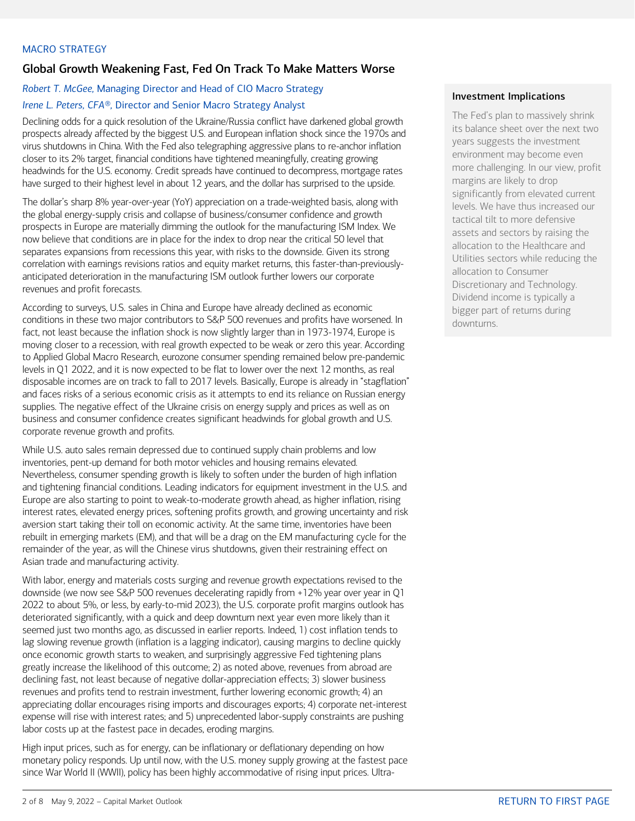### <span id="page-1-0"></span>MACRO STRATEGY

## Global Growth Weakening Fast, Fed On Track To Make Matters Worse

# *Robert T. McGee,* Managing Director and Head of CIO Macro Strategy *Irene L. Peters, CFA®,* Director and Senior Macro Strategy Analyst

Declining odds for a quick resolution of the Ukraine/Russia conflict have darkened global growth prospects already affected by the biggest U.S. and European inflation shock since the 1970s and virus shutdowns in China. With the Fed also telegraphing aggressive plans to re-anchor inflation closer to its 2% target, financial conditions have tightened meaningfully, creating growing headwinds for the U.S. economy. Credit spreads have continued to decompress, mortgage rates have surged to their highest level in about 12 years, and the dollar has surprised to the upside.

The dollar's sharp 8% year-over-year (YoY) appreciation on a trade-weighted basis, along with the global energy-supply crisis and collapse of business/consumer confidence and growth prospects in Europe are materially dimming the outlook for the manufacturing ISM Index. We now believe that conditions are in place for the index to drop near the critical 50 level that separates expansions from recessions this year, with risks to the downside. Given its strong correlation with earnings revisions ratios and equity market returns, this faster-than-previouslyanticipated deterioration in the manufacturing ISM outlook further lowers our corporate revenues and profit forecasts.

According to surveys, U.S. sales in China and Europe have already declined as economic conditions in these two major contributors to S&P 500 revenues and profits have worsened. In fact, not least because the inflation shock is now slightly larger than in 1973-1974, Europe is moving closer to a recession, with real growth expected to be weak or zero this year. According to Applied Global Macro Research, eurozone consumer spending remained below pre-pandemic levels in Q1 2022, and it is now expected to be flat to lower over the next 12 months, as real disposable incomes are on track to fall to 2017 levels. Basically, Europe is already in "stagflation" and faces risks of a serious economic crisis as it attempts to end its reliance on Russian energy supplies. The negative effect of the Ukraine crisis on energy supply and prices as well as on business and consumer confidence creates significant headwinds for global growth and U.S. corporate revenue growth and profits.

While U.S. auto sales remain depressed due to continued supply chain problems and low inventories, pent-up demand for both motor vehicles and housing remains elevated. Nevertheless, consumer spending growth is likely to soften under the burden of high inflation and tightening financial conditions. Leading indicators for equipment investment in the U.S. and Europe are also starting to point to weak-to-moderate growth ahead, as higher inflation, rising interest rates, elevated energy prices, softening profits growth, and growing uncertainty and risk aversion start taking their toll on economic activity. At the same time, inventories have been rebuilt in emerging markets (EM), and that will be a drag on the EM manufacturing cycle for the remainder of the year, as will the Chinese virus shutdowns, given their restraining effect on Asian trade and manufacturing activity.

With labor, energy and materials costs surging and revenue growth expectations revised to the downside (we now see S&P 500 revenues decelerating rapidly from +12% year over year in Q1 2022 to about 5%, or less, by early-to-mid 2023), the U.S. corporate profit margins outlook has deteriorated significantly, with a quick and deep downturn next year even more likely than it seemed just two months ago, as discussed in earlier reports. Indeed, 1) cost inflation tends to lag slowing revenue growth (inflation is a lagging indicator), causing margins to decline quickly once economic growth starts to weaken, and surprisingly aggressive Fed tightening plans greatly increase the likelihood of this outcome; 2) as noted above, revenues from abroad are declining fast, not least because of negative dollar-appreciation effects; 3) slower business revenues and profits tend to restrain investment, further lowering economic growth; 4) an appreciating dollar encourages rising imports and discourages exports; 4) corporate net-interest expense will rise with interest rates; and 5) unprecedented labor-supply constraints are pushing labor costs up at the fastest pace in decades, eroding margins.

High input prices, such as for energy, can be inflationary or deflationary depending on how monetary policy responds. Up until now, with the U.S. money supply growing at the fastest pace since War World II (WWII), policy has been highly accommodative of rising input prices. Ultra-

#### Investment Implications

The Fed's plan to massively shrink its balance sheet over the next two years suggests the investment environment may become even more challenging. In our view, profit margins are likely to drop significantly from elevated current levels. We have thus increased our tactical tilt to more defensive assets and sectors by raising the allocation to the Healthcare and Utilities sectors while reducing the allocation to Consumer Discretionary and Technology. Dividend income is typically a bigger part of returns during downturns.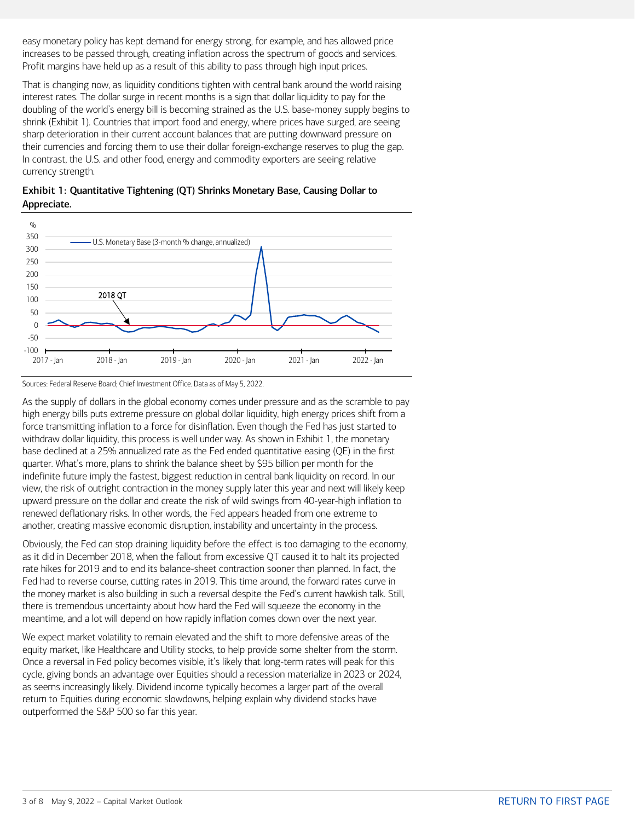easy monetary policy has kept demand for energy strong, for example, and has allowed price increases to be passed through, creating inflation across the spectrum of goods and services. Profit margins have held up as a result of this ability to pass through high input prices.

That is changing now, as liquidity conditions tighten with central bank around the world raising interest rates. The dollar surge in recent months is a sign that dollar liquidity to pay for the doubling of the world's energy bill is becoming strained as the U.S. base-money supply begins to shrink (Exhibit 1). Countries that import food and energy, where prices have surged, are seeing sharp deterioration in their current account balances that are putting downward pressure on their currencies and forcing them to use their dollar foreign-exchange reserves to plug the gap. In contrast, the U.S. and other food, energy and commodity exporters are seeing relative currency strength.





Sources: Federal Reserve Board; Chief Investment Office. Data as of May 5, 2022.

As the supply of dollars in the global economy comes under pressure and as the scramble to pay high energy bills puts extreme pressure on global dollar liquidity, high energy prices shift from a force transmitting inflation to a force for disinflation. Even though the Fed has just started to withdraw dollar liquidity, this process is well under way. As shown in Exhibit 1, the monetary base declined at a 25% annualized rate as the Fed ended quantitative easing (QE) in the first quarter. What's more, plans to shrink the balance sheet by \$95 billion per month for the indefinite future imply the fastest, biggest reduction in central bank liquidity on record. In our view, the risk of outright contraction in the money supply later this year and next will likely keep upward pressure on the dollar and create the risk of wild swings from 40-year-high inflation to renewed deflationary risks. In other words, the Fed appears headed from one extreme to another, creating massive economic disruption, instability and uncertainty in the process.

Obviously, the Fed can stop draining liquidity before the effect is too damaging to the economy, as it did in December 2018, when the fallout from excessive QT caused it to halt its projected rate hikes for 2019 and to end its balance-sheet contraction sooner than planned. In fact, the Fed had to reverse course, cutting rates in 2019. This time around, the forward rates curve in the money market is also building in such a reversal despite the Fed's current hawkish talk. Still, there is tremendous uncertainty about how hard the Fed will squeeze the economy in the meantime, and a lot will depend on how rapidly inflation comes down over the next year.

We expect market volatility to remain elevated and the shift to more defensive areas of the equity market, like Healthcare and Utility stocks, to help provide some shelter from the storm. Once a reversal in Fed policy becomes visible, it's likely that long-term rates will peak for this cycle, giving bonds an advantage over Equities should a recession materialize in 2023 or 2024, as seems increasingly likely. Dividend income typically becomes a larger part of the overall return to Equities during economic slowdowns, helping explain why dividend stocks have outperformed the S&P 500 so far this year.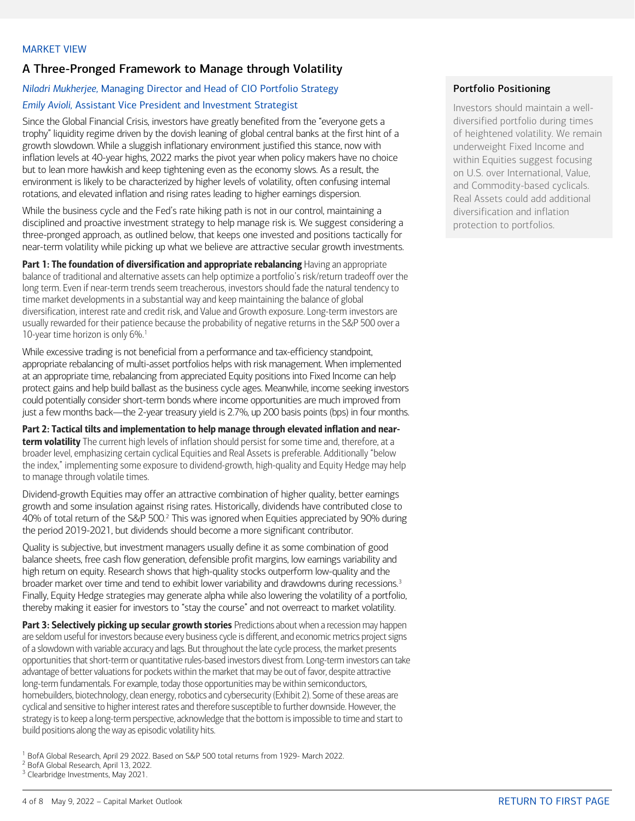# <span id="page-3-0"></span>A Three-Pronged Framework to Manage through Volatility

## *Niladri Mukherjee,* Managing Director and Head of CIO Portfolio Strategy *Emily Avioli,* Assistant Vice President and Investment Strategist

Since the Global Financial Crisis, investors have greatly benefited from the "everyone gets a trophy" liquidity regime driven by the dovish leaning of global central banks at the first hint of a growth slowdown. While a sluggish inflationary environment justified this stance, now with inflation levels at 40-year highs, 2022 marks the pivot year when policy makers have no choice but to lean more hawkish and keep tightening even as the economy slows. As a result, the environment is likely to be characterized by higher levels of volatility, often confusing internal rotations, and elevated inflation and rising rates leading to higher earnings dispersion.

While the business cycle and the Fed's rate hiking path is not in our control, maintaining a disciplined and proactive investment strategy to help manage risk is. We suggest considering a three-pronged approach, as outlined below, that keeps one invested and positions tactically for near-term volatility while picking up what we believe are attractive secular growth investments.

Part 1: The foundation of diversification and appropriate rebalancing Having an appropriate balance of traditional and alternative assets can help optimize a portfolio's risk/return tradeoff over the long term. Even if near-term trends seem treacherous, investors should fade the natural tendency to time market developments in a substantial way and keep maintaining the balance of global diversification, interest rate and credit risk, and Value and Growth exposure. Long-term investors are usually rewarded for their patience because the probability of negative returns in the S&P 500 over a [1](#page-3-1)0-year time horizon is only  $6\%$ .<sup>1</sup>

While excessive trading is not beneficial from a performance and tax-efficiency standpoint, appropriate rebalancing of multi-asset portfolios helps with risk management. When implemented at an appropriate time, rebalancing from appreciated Equity positions into Fixed Income can help protect gains and help build ballast as the business cycle ages. Meanwhile, income seeking investors could potentially consider short-term bonds where income opportunities are much improved from just a few months back—the 2-year treasury yield is 2.7%, up 200 basis points (bps) in four months.

Part 2: Tactical tilts and implementation to help manage through elevated inflation and nearterm volatility The current high levels of inflation should persist for some time and, therefore, at a broader level, emphasizing certain cyclical Equities and Real Assets is preferable. Additionally "below the index," implementing some exposure to dividend-growth, high-quality and Equity Hedge may help to manage through volatile times.

Dividend-growth Equities may offer an attractive combination of higher quality, better earnings growth and some insulation against rising rates. Historically, dividends have contributed close to 40% of total return of the S&P 500.[2](#page-3-2) This was ignored when Equities appreciated by 90% during the period 2019-2021, but dividends should become a more significant contributor.

Quality is subjective, but investment managers usually define it as some combination of good balance sheets, free cash flow generation, defensible profit margins, low earnings variability and high return on equity. Research shows that high-quality stocks outperform low-quality and the broader market over time and tend to exhibit lower variability and drawdowns during recessions.<sup>[3](#page-3-3)</sup> Finally, Equity Hedge strategies may generate alpha while also lowering the volatility of a portfolio, thereby making it easier for investors to "stay the course" and not overreact to market volatility.

Part 3: Selectively picking up secular growth stories Predictions about when a recession may happen are seldom useful for investors because every business cycle is different, and economic metrics project signs of a slowdown with variable accuracy and lags. But throughout the late cycle process, the market presents opportunities that short-term or quantitative rules-based investors divest from. Long-term investors can take advantage of better valuations for pockets within the market that may be out of favor, despite attractive long-term fundamentals. For example, today those opportunities may be within semiconductors, homebuilders, biotechnology, clean energy, robotics and cybersecurity (Exhibit 2). Some of these areas are cyclical and sensitive to higher interest rates and therefore susceptible to further downside. However, the strategy is to keep a long-term perspective, acknowledge that the bottom is impossible to time and start to build positions along the way as episodic volatility hits.

### Portfolio Positioning

Investors should maintain a welldiversified portfolio during times of heightened volatility. We remain underweight Fixed Income and within Equities suggest focusing on U.S. over International, Value, and Commodity-based cyclicals. Real Assets could add additional diversification and inflation protection to portfolios.

<span id="page-3-1"></span><sup>&</sup>lt;sup>1</sup> BofA Global Research, April 29 2022. Based on S&P 500 total returns from 1929- March 2022.<br><sup>2</sup> BofA Global Research, April 13, 2022.

<span id="page-3-2"></span>

<span id="page-3-3"></span><sup>&</sup>lt;sup>3</sup> Clearbridge Investments, May 2021.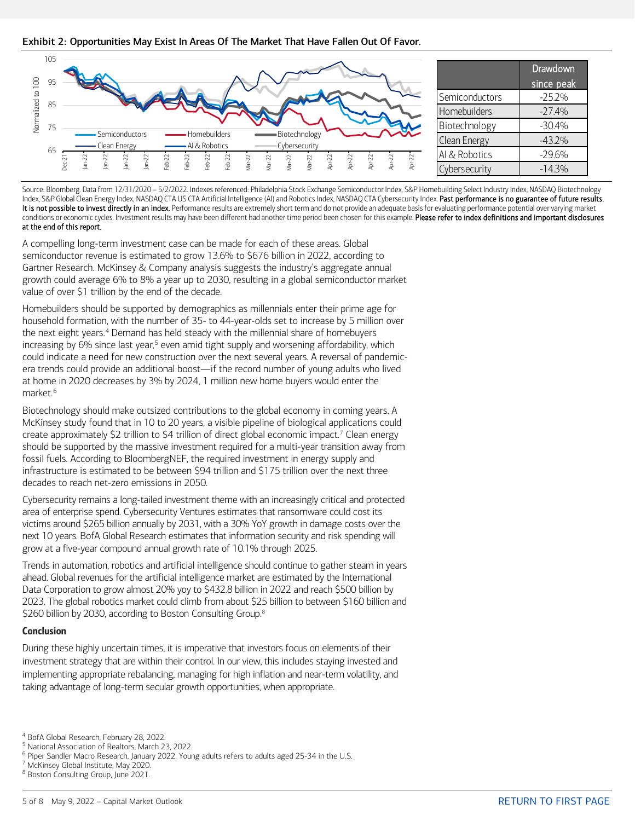Exhibit 2: Opportunities May Exist In Areas Of The Market That Have Fallen Out Of Favor.



Source: Bloomberg. Data from 12/31/2020 – 5/2/2022. Indexes referenced: Philadelphia Stock Exchange Semiconductor Index, S&P Homebuilding Select Industry Index, NASDAQ Biotechnology Index, S&P Global Clean Energy Index, NASDAQ CTA US CTA Artificial Intelligence (AI) and Robotics Index, NASDAQ CTA Cybersecurity Index. Past performance is no guarantee of future results. It is not possible to invest directly in an index. Performance results are extremely short term and do not provide an adequate basis for evaluating performance potential over varying market conditions or economic cycles. Investment results may have been different had another time period been chosen for this example. Please refer to index definitions and important disclosures at the end of this report.

A compelling long-term investment case can be made for each of these areas. Global semiconductor revenue is estimated to grow 13.6% to \$676 billion in 2022, according to Gartner Research. McKinsey & Company analysis suggests the industry's aggregate annual growth could average 6% to 8% a year up to 2030, resulting in a global semiconductor market value of over \$1 trillion by the end of the decade.

Homebuilders should be supported by demographics as millennials enter their prime age for household formation, with the number of 35- to 44-year-olds set to increase by 5 million over the next eight years.<sup>[4](#page-4-0)</sup> Demand has held steady with the millennial share of homebuyers increasing by 6% since last year,<sup>[5](#page-4-1)</sup> even amid tight supply and worsening affordability, which could indicate a need for new construction over the next several years. A reversal of pandemicera trends could provide an additional boost—if the record number of young adults who lived at home in 2020 decreases by 3% by 2024, 1 million new home buyers would enter the market.<sup>[6](#page-4-2)</sup>

Biotechnology should make outsized contributions to the global economy in coming years. A McKinsey study found that in 10 to 20 years, a visible pipeline of biological applications could create approximately \$2 trillion to \$4 trillion of direct global economic impact.[7](#page-4-3) Clean energy should be supported by the massive investment required for a multi-year transition away from fossil fuels. According to BloombergNEF, the required investment in energy supply and infrastructure is estimated to be between \$94 trillion and \$175 trillion over the next three decades to reach net-zero emissions in 2050.

Cybersecurity remains a long-tailed investment theme with an increasingly critical and protected area of enterprise spend. Cybersecurity Ventures estimates that ransomware could cost its victims around \$265 billion annually by 2031, with a 30% YoY growth in damage costs over the next 10 years. BofA Global Research estimates that information security and risk spending will grow at a five-year compound annual growth rate of 10.1% through 2025.

Trends in automation, robotics and artificial intelligence should continue to gather steam in years ahead. Global revenues for the artificial intelligence market are estimated by the International Data Corporation to grow almost 20% yoy to \$432.8 billion in 2022 and reach \$500 billion by 2023. The global robotics market could climb from about \$25 billion to between \$160 billion and \$260 billion by 2030, according to Boston Consulting Group.<sup>[8](#page-4-4)</sup>

## Conclusion

During these highly uncertain times, it is imperative that investors focus on elements of their investment strategy that are within their control. In our view, this includes staying invested and implementing appropriate rebalancing, managing for high inflation and near-term volatility, and taking advantage of long-term secular growth opportunities, when appropriate.

<span id="page-4-1"></span>

<span id="page-4-0"></span><sup>&</sup>lt;sup>4</sup> BofA Global Research, February 28, 2022.<br><sup>5</sup> National Association of Realtors, March 23, 2022.

<span id="page-4-2"></span> $6$  Piper Sandler Macro Research, January 2022. Young adults refers to adults aged 25-34 in the U.S.  $7$  McKinsey Global Institute, May 2020.

<span id="page-4-3"></span>

<span id="page-4-4"></span><sup>8</sup> Boston Consulting Group, June 2021.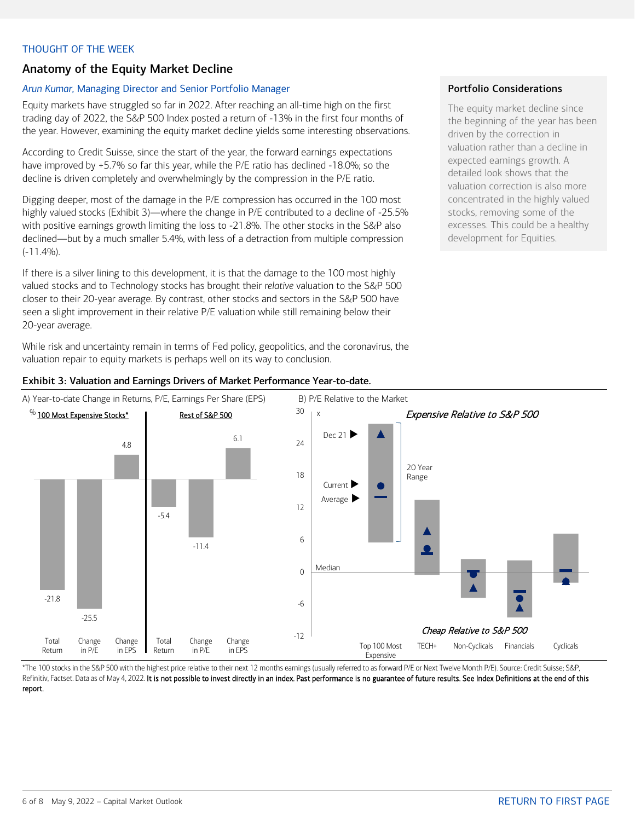## <span id="page-5-0"></span>THOUGHT OF THE WEEK

# Anatomy of the Equity Market Decline

#### *Arun Kumar,* Managing Director and Senior Portfolio Manager

Equity markets have struggled so far in 2022. After reaching an all-time high on the first trading day of 2022, the S&P 500 Index posted a return of -13% in the first four months of the year. However, examining the equity market decline yields some interesting observations.

According to Credit Suisse, since the start of the year, the forward earnings expectations have improved by +5.7% so far this year, while the P/E ratio has declined -18.0%; so the decline is driven completely and overwhelmingly by the compression in the P/E ratio.

Digging deeper, most of the damage in the P/E compression has occurred in the 100 most highly valued stocks (Exhibit 3)—where the change in P/E contributed to a decline of -25.5% with positive earnings growth limiting the loss to -21.8%. The other stocks in the S&P also declined—but by a much smaller 5.4%, with less of a detraction from multiple compression (-11.4%).

If there is a silver lining to this development, it is that the damage to the 100 most highly valued stocks and to Technology stocks has brought their *relative* valuation to the S&P 500 closer to their 20-year average. By contrast, other stocks and sectors in the S&P 500 have seen a slight improvement in their relative P/E valuation while still remaining below their 20-year average.

While risk and uncertainty remain in terms of Fed policy, geopolitics, and the coronavirus, the valuation repair to equity markets is perhaps well on its way to conclusion.

#### Portfolio Considerations

The equity market decline since the beginning of the year has been driven by the correction in valuation rather than a decline in expected earnings growth. A detailed look shows that the valuation correction is also more concentrated in the highly valued stocks, removing some of the excesses. This could be a healthy development for Equities.



### Exhibit 3: Valuation and Earnings Drivers of Market Performance Year-to-date.

Refinitiv, Factset. Data as of May 4, 2022. It is not possible to invest directly in an index. Past performance is no guarantee of future results. See Index Definitions at the end of this report.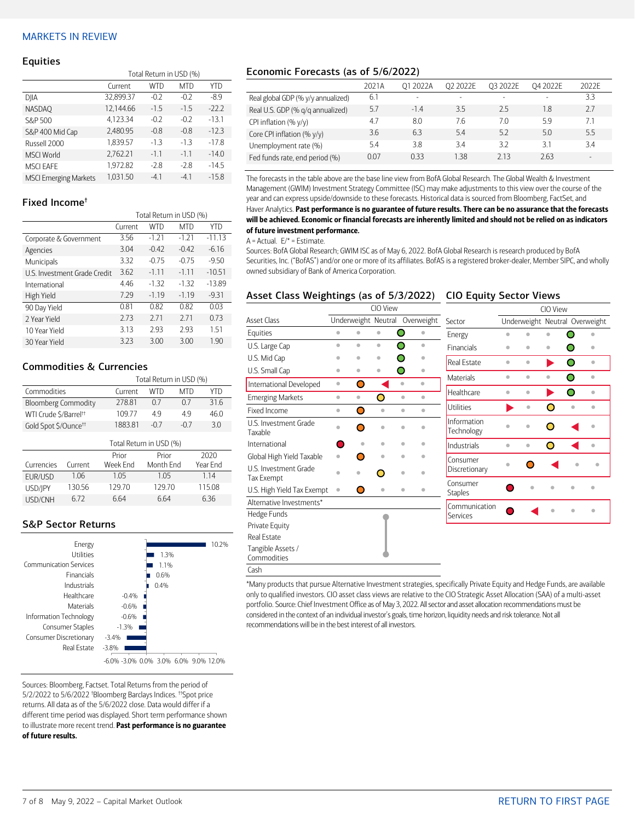## <span id="page-6-0"></span>MARKETS IN REVIEW

#### **Equities**

|                              | Total Return in USD (%) |        |            |         |  |  |  |
|------------------------------|-------------------------|--------|------------|---------|--|--|--|
|                              | Current                 | WTD    | <b>MTD</b> | YTD     |  |  |  |
| DJIA                         | 32,899.37               | $-0.2$ | $-0.2$     | $-8.9$  |  |  |  |
| <b>NASDAO</b>                | 12,144.66               | $-1.5$ | $-1.5$     | $-222$  |  |  |  |
| S&P 500                      | 4,123.34                | $-0.2$ | $-0.2$     | $-13.1$ |  |  |  |
| S&P 400 Mid Cap              | 2.480.95                | $-0.8$ | $-0.8$     | $-12.3$ |  |  |  |
| Russell 2000                 | 1,839.57                | $-1.3$ | $-1.3$     | $-17.8$ |  |  |  |
| <b>MSCI World</b>            | 2,762.21                | $-1.1$ | $-1.1$     | $-14.0$ |  |  |  |
| <b>MSCI EAFE</b>             | 1.972.82                | $-2.8$ | $-2.8$     | $-14.5$ |  |  |  |
| <b>MSCI Emerging Markets</b> | 1.031.50                | $-4.1$ | $-4.1$     | $-15.8$ |  |  |  |

#### Fixed Income†

| Total Return in USD (%) |            |            |          |  |  |
|-------------------------|------------|------------|----------|--|--|
| Current                 | <b>WTD</b> | <b>MTD</b> | YTD      |  |  |
| 3.56                    | $-1.21$    | $-1.21$    | $-11.13$ |  |  |
| 3.04                    | $-0.42$    | $-0.42$    | $-6.16$  |  |  |
| 3.32                    | $-0.75$    | $-0.75$    | $-9.50$  |  |  |
| 3.62                    | $-1.11$    | $-1.11$    | $-10.51$ |  |  |
| 4.46                    | $-1.32$    | $-1.32$    | $-13.89$ |  |  |
| 7.29                    | $-1.19$    | $-1.19$    | $-9.31$  |  |  |
| 0.81                    | 0.82       | 0.82       | 0.03     |  |  |
| 2.73                    | 2.71       | 2.71       | 0.73     |  |  |
| 3.13                    | 2.93       | 2.93       | 1.51     |  |  |
| 3.23                    | 3.00       | 3.00       | 1.90     |  |  |
|                         |            |            |          |  |  |

### Commodities & Currencies

|                                   |                         | Total Return in USD (%) |                          |  |            |  |  |  |
|-----------------------------------|-------------------------|-------------------------|--------------------------|--|------------|--|--|--|
| Commodities                       |                         | Current                 | <b>WTD</b><br><b>MTD</b> |  | <b>YTD</b> |  |  |  |
| <b>Bloomberg Commodity</b>        |                         | 278.81                  | 0.7<br>0.7               |  | 31.6       |  |  |  |
| WTI Crude \$/Barrel <sup>++</sup> |                         | 109.77                  | 49<br>49                 |  | 46.0       |  |  |  |
| Gold Spot \$/Ounce <sup>tt</sup>  |                         | 1883.81                 | $-0.7$<br>$-0.7$         |  | 3.0        |  |  |  |
|                                   | Total Return in USD (%) |                         |                          |  |            |  |  |  |
|                                   |                         | Prior                   | Prior                    |  | 2020       |  |  |  |
| Currencies                        | Current                 | Week Fnd                | Month End                |  | Year Fnd   |  |  |  |
| EUR/USD                           | 1.06                    | 1.05                    | 1.05                     |  | 114        |  |  |  |
| USD/JPY                           | 130.56                  | 129.70                  | 129.70                   |  | 115.08     |  |  |  |
| USD/CNH                           | 672                     | 6.64                    | 6.64                     |  | 6.36       |  |  |  |

## S&P Sector Returns



Sources: Bloomberg, Factset. Total Returns from the period of 5/2/2022 to 5/6/2022 † Bloomberg Barclays Indices. ††Spot price returns. All data as of the 5/6/2022 close. Data would differ if a different time period was displayed. Short term performance shown to illustrate more recent trend. Past performance is no guarantee of future results.

## Economic Forecasts (as of 5/6/2022)

|                                    | 2021A | 01 2022A | O <sub>2</sub> 2022E     | O3 2022E                 | 04 2022E                 | 2022F |
|------------------------------------|-------|----------|--------------------------|--------------------------|--------------------------|-------|
| Real global GDP (% y/y annualized) | 6.1   |          | $\overline{\phantom{0}}$ | $\overline{\phantom{a}}$ | $\overline{\phantom{a}}$ | 3.3   |
| Real U.S. GDP (% q/q annualized)   | 5.7   | $-1.4$   | 3.5                      | 2.5                      | 1.8                      | 2.7   |
| CPI inflation $(\% \gamma/\gamma)$ | 4.7   | 8.0      | 7.6                      | 7.0                      | 5.9                      | 7.1   |
| Core CPI inflation (% y/y)         | 3.6   | 6.3      | 5.4                      | 5.2                      | 5.0                      | 5.5   |
| Unemployment rate (%)              | 5.4   | 3.8      | 3.4                      | 32                       | 3.1                      | 3.4   |
| Fed funds rate, end period (%)     | 0.07  | 033      | 1.38                     | 713                      | 2.63                     |       |

The forecasts in the table above are the base line view from BofA Global Research. The Global Wealth & Investment Management (GWIM) Investment Strategy Committee (ISC) may make adjustments to this view over the course of the year and can express upside/downside to these forecasts. Historical data is sourced from Bloomberg, FactSet, and Haver Analytics. Past performance is no guarantee of future results. There can be no assurance that the forecasts will be achieved. Economic or financial forecasts are inherently limited and should not be relied on as indicators of future investment performance.

#### $A =$  Actual.  $E/* =$  Estimate.

Sources: BofA Global Research; GWIM ISC as of May 6, 2022. BofA Global Research is research produced by BofA Securities, Inc. ("BofAS") and/or one or more of its affiliates. BofAS is a registered broker-dealer, Member SIPC, and wholly owned subsidiary of Bank of America Corporation.

### Asset Class Weightings (as of 5/3/2022) CIO Equity Sector Views

|                                     | CIO View  |           |                     |                                   |  |                            | CIO View  |           |           |           |                                |
|-------------------------------------|-----------|-----------|---------------------|-----------------------------------|--|----------------------------|-----------|-----------|-----------|-----------|--------------------------------|
| <b>Asset Class</b>                  |           |           | Underweight Neutral | Overweight                        |  | Sector                     |           |           |           |           | Underweight Neutral Overweight |
| Equities                            | $\bullet$ | $\bullet$ | $\bullet$           | O<br>$\color{red} \bullet$        |  | Energy                     | ó         |           |           |           |                                |
| U.S. Large Cap                      | $\bullet$ | $\bullet$ | $\bullet$           | ∩<br>$\bullet$                    |  | <b>Financials</b>          | $\bullet$ | $\bullet$ | $\bullet$ | O         | ۰                              |
| U.S. Mid Cap                        | ۰         | ö         | $\bullet$           | O<br>۰                            |  | Real Estate                | $\bullet$ | $\bullet$ |           | ∩         | $\bullet$                      |
| U.S. Small Cap                      | ۰         | $\bullet$ | $\bullet$           | O<br>$\bullet$                    |  | <b>Materials</b>           | $\bullet$ | $\bullet$ | $\bullet$ | ∩         | $\bullet$                      |
| International Developed             | $\bullet$ | Ο         |                     | $\ddot{\phantom{a}}$<br>$\bullet$ |  |                            |           |           |           |           |                                |
| <b>Emerging Markets</b>             | $\bullet$ | $\bullet$ | Ο                   | $\bullet$<br>$\bullet$            |  | Healthcare                 | $\bullet$ | $\bullet$ |           | ∩         | $\bullet$                      |
| Fixed Income                        | $\bullet$ | ∩         | $\bullet$           | $\bullet$<br>$\bullet$            |  | <b>Utilities</b>           |           | $\bullet$ | ∩         | $\bullet$ | $\bullet$                      |
| U.S. Investment Grade<br>Taxable    |           |           | ó                   | ó<br>٥                            |  | Information<br>Technology  | ó         | $\bullet$ |           |           |                                |
| International                       |           | $\bullet$ | $\bullet$           | $\bullet$<br>$\bullet$            |  | <b>Industrials</b>         | $\bullet$ | $\bullet$ | ∩         |           |                                |
| Global High Yield Taxable           |           |           | ö                   | $\bullet$<br>$\bullet$            |  | Consumer                   |           |           |           |           |                                |
| U.S. Investment Grade<br>Tax Exempt |           |           | ∩                   | $\bullet$<br>$\bullet$            |  | Discretionary              | ۰         |           |           |           |                                |
| U.S. High Yield Tax Exempt          |           |           | $\bullet$           | $\bullet$<br>$\bullet$            |  | Consumer<br><b>Staples</b> |           |           | ó         | $\bullet$ | $\triangleq$                   |
| Alternative Investments*            |           |           |                     |                                   |  | Communication              |           |           |           |           |                                |
| Hedge Funds                         |           |           |                     |                                   |  | Services                   |           |           |           | ۰         | $\bullet$                      |
| Private Equity                      |           |           |                     |                                   |  |                            |           |           |           |           |                                |
| Real Estate                         |           |           |                     |                                   |  |                            |           |           |           |           |                                |
| Tangible Assets /<br>Commodities    |           |           |                     |                                   |  |                            |           |           |           |           |                                |
| Cash                                |           |           |                     |                                   |  |                            |           |           |           |           |                                |

\*Many products that pursue Alternative Investment strategies, specifically Private Equity and Hedge Funds, are available only to qualified investors. CIO asset class views are relative to the CIO Strategic Asset Allocation (SAA) of a multi-asset portfolio. Source: Chief Investment Office as of May 3, 2022. All sector and asset allocation recommendations must be considered in the context of an individual investor's goals, time horizon, liquidity needs and risk tolerance. Not all recommendations will be in the best interest of all investors.